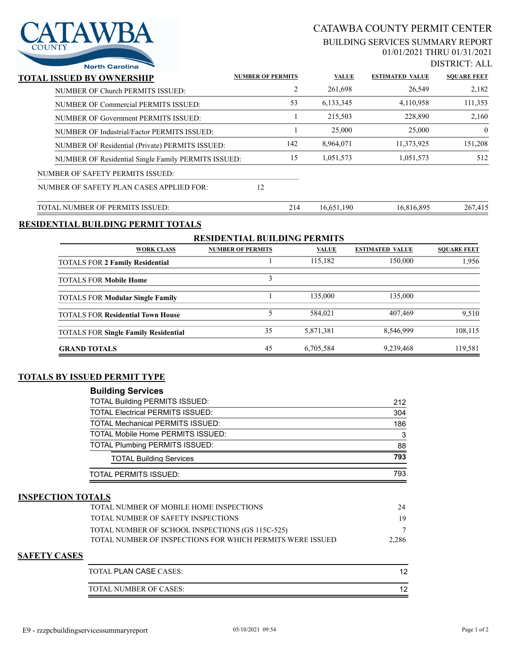

# CATAWBA COUNTY PERMIT CENTER

#### BUILDING SERVICES SUMMARY REPORT 01/01/2021 THRU 01/31/2021

DISTRICT: ALL

| <b>North Carolina</b>                               |                          |              |                        | 219 HYV 1.7H       |
|-----------------------------------------------------|--------------------------|--------------|------------------------|--------------------|
| TOTAL ISSUED BY OWNERSHIP                           | <b>NUMBER OF PERMITS</b> | <b>VALUE</b> | <b>ESTIMATED VALUE</b> | <b>SOUARE FEET</b> |
| NUMBER OF Church PERMITS ISSUED:                    | 2                        | 261,698      | 26,549                 | 2,182              |
| NUMBER OF Commercial PERMITS ISSUED:                | 53                       | 6,133,345    | 4,110,958              | 111,353            |
| NUMBER OF Government PERMITS ISSUED:                |                          | 215,503      | 228,890                | 2,160              |
| NUMBER OF Industrial/Factor PERMITS ISSUED:         |                          | 25,000       | 25,000                 | $\theta$           |
| NUMBER OF Residential (Private) PERMITS ISSUED:     | 142                      | 8,964,071    | 11,373,925             | 151,208            |
| NUMBER OF Residential Single Family PERMITS ISSUED: | 15                       | 1,051,573    | 1,051,573              | 512                |
| NUMBER OF SAFETY PERMITS ISSUED:                    |                          |              |                        |                    |
| NUMBER OF SAFETY PLAN CASES APPLIED FOR:            | 12                       |              |                        |                    |
| TOTAL NUMBER OF PERMITS ISSUED:                     | 214                      | 16,651,190   | 16,816,895             | 267,415            |

### **RESIDENTIAL BUILDING PERMIT TOTALS**

| <b>RESIDENTIAL BUILDING PERMITS</b>         |                          |              |                        |                    |  |  |
|---------------------------------------------|--------------------------|--------------|------------------------|--------------------|--|--|
| <b>WORK CLASS</b>                           | <b>NUMBER OF PERMITS</b> | <b>VALUE</b> | <b>ESTIMATED VALUE</b> | <b>SOUARE FEET</b> |  |  |
| <b>TOTALS FOR 2 Family Residential</b>      |                          | 115,182      | 150,000                | 1,956              |  |  |
| <b>TOTALS FOR Mobile Home</b>               |                          |              |                        |                    |  |  |
| <b>TOTALS FOR Modular Single Family</b>     |                          | 135,000      | 135,000                |                    |  |  |
| <b>TOTALS FOR Residential Town House</b>    |                          | 584.021      | 407.469                | 9,510              |  |  |
| <b>TOTALS FOR Single Family Residential</b> | 35                       | 5,871,381    | 8,546,999              | 108,115            |  |  |
| <b>GRAND TOTALS</b>                         | 45                       | 6,705,584    | 9,239,468              | 119.581            |  |  |

#### **TOTALS BY ISSUED PERMIT TYPE**

| <b>Building Services</b>                |     |
|-----------------------------------------|-----|
| <b>TOTAL Building PERMITS ISSUED:</b>   | 212 |
| <b>TOTAL Electrical PERMITS ISSUED:</b> | 304 |
| <b>TOTAL Mechanical PERMITS ISSUED:</b> | 186 |
| TOTAL Mobile Home PERMITS ISSUED:       | 3   |
| <b>TOTAL Plumbing PERMITS ISSUED:</b>   | 88  |
| <b>TOTAL Building Services</b>          | 793 |
| <b>TOTAL PERMITS ISSUED:</b>            | 793 |

#### **INSPECTION TOTALS**

| TOTAL NUMBER OF MOBILE HOME INSPECTIONS                    | 24    |
|------------------------------------------------------------|-------|
| TOTAL NUMBER OF SAFETY INSPECTIONS                         |       |
| TOTAL NUMBER OF SCHOOL INSPECTIONS (GS 115C-525)           |       |
| TOTAL NUMBER OF INSPECTIONS FOR WHICH PERMITS WERE ISSUED. | 2.286 |
|                                                            |       |

#### **SAFETY CASES**

| TOTAL PLAN CASE CASES: |  |
|------------------------|--|
| TOTAL NUMBER OF CASES: |  |